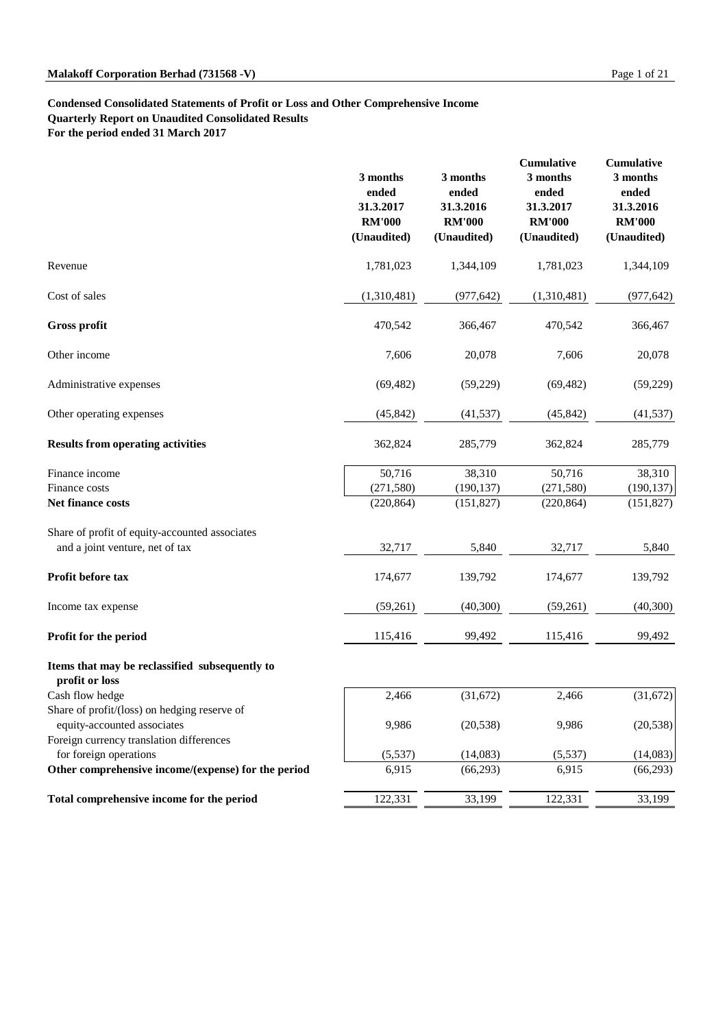#### **Condensed Consolidated Statements of Profit or Loss and Other Comprehensive Income**

**Quarterly Report on Unaudited Consolidated Results**

**For the period ended 31 March 2017**

|                                                                                                                         | 3 months<br>ended<br>31.3.2017<br><b>RM'000</b><br>(Unaudited) | 3 months<br>ended<br>31.3.2016<br><b>RM'000</b><br>(Unaudited) | Cumulative<br>3 months<br>ended<br>31.3.2017<br><b>RM'000</b><br>(Unaudited) | Cumulative<br>3 months<br>ended<br>31.3.2016<br><b>RM'000</b><br>(Unaudited) |
|-------------------------------------------------------------------------------------------------------------------------|----------------------------------------------------------------|----------------------------------------------------------------|------------------------------------------------------------------------------|------------------------------------------------------------------------------|
| Revenue                                                                                                                 | 1,781,023                                                      | 1,344,109                                                      | 1,781,023                                                                    | 1,344,109                                                                    |
| Cost of sales                                                                                                           | (1,310,481)                                                    | (977, 642)                                                     | (1,310,481)                                                                  | (977, 642)                                                                   |
| <b>Gross profit</b>                                                                                                     | 470,542                                                        | 366,467                                                        | 470,542                                                                      | 366,467                                                                      |
| Other income                                                                                                            | 7,606                                                          | 20,078                                                         | 7,606                                                                        | 20,078                                                                       |
| Administrative expenses                                                                                                 | (69, 482)                                                      | (59,229)                                                       | (69, 482)                                                                    | (59,229)                                                                     |
| Other operating expenses                                                                                                | (45, 842)                                                      | (41, 537)                                                      | (45, 842)                                                                    | (41, 537)                                                                    |
| <b>Results from operating activities</b>                                                                                | 362,824                                                        | 285,779                                                        | 362,824                                                                      | 285,779                                                                      |
| Finance income<br>Finance costs<br>Net finance costs                                                                    | 50,716<br>(271, 580)<br>(220, 864)                             | 38,310<br>(190, 137)<br>(151, 827)                             | 50,716<br>(271, 580)<br>(220, 864)                                           | 38,310<br>(190, 137)<br>(151, 827)                                           |
| Share of profit of equity-accounted associates<br>and a joint venture, net of tax                                       | 32,717                                                         | 5,840                                                          | 32,717                                                                       | 5,840                                                                        |
| Profit before tax                                                                                                       | 174,677                                                        | 139,792                                                        | 174,677                                                                      | 139,792                                                                      |
| Income tax expense                                                                                                      | (59,261)                                                       | (40, 300)                                                      | (59,261)                                                                     | (40,300)                                                                     |
| Profit for the period                                                                                                   | 115,416                                                        | 99,492                                                         | 115,416                                                                      | 99,492                                                                       |
| Items that may be reclassified subsequently to<br>profit or loss                                                        |                                                                |                                                                |                                                                              |                                                                              |
| Cash flow hedge                                                                                                         | 2,466                                                          | (31,672)                                                       | 2,466                                                                        | (31,672)                                                                     |
| Share of profit/(loss) on hedging reserve of<br>equity-accounted associates<br>Foreign currency translation differences | 9,986                                                          | (20, 538)                                                      | 9,986                                                                        | (20, 538)                                                                    |
| for foreign operations                                                                                                  | (5,537)                                                        | (14,083)                                                       | (5,537)                                                                      | (14,083)                                                                     |
| Other comprehensive income/(expense) for the period                                                                     | 6,915                                                          | (66, 293)                                                      | 6,915                                                                        | (66, 293)                                                                    |
| Total comprehensive income for the period                                                                               | 122,331                                                        | 33,199                                                         | 122,331                                                                      | 33,199                                                                       |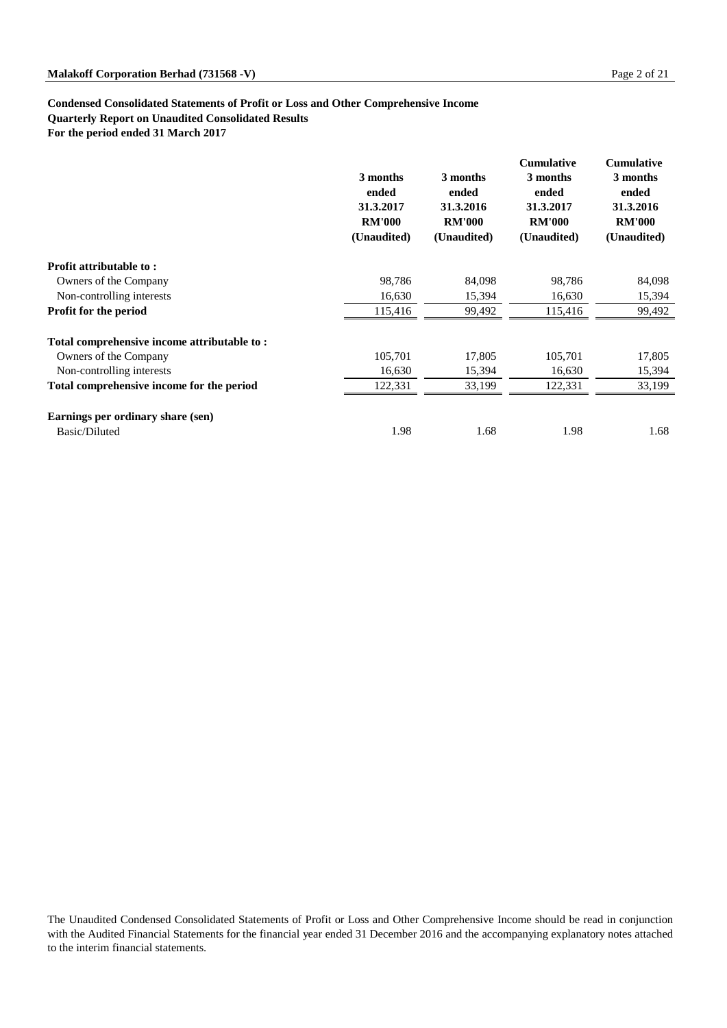#### **Condensed Consolidated Statements of Profit or Loss and Other Comprehensive Income**

**Quarterly Report on Unaudited Consolidated Results**

**For the period ended 31 March 2017**

|                                             | 3 months<br>ended<br>31.3.2017<br><b>RM'000</b><br>(Unaudited) | 3 months<br>ended<br>31.3.2016<br><b>RM'000</b><br>(Unaudited) | <b>Cumulative</b><br>3 months<br>ended<br>31.3.2017<br><b>RM'000</b><br>(Unaudited) | <b>Cumulative</b><br>3 months<br>ended<br>31.3.2016<br><b>RM'000</b><br>(Unaudited) |
|---------------------------------------------|----------------------------------------------------------------|----------------------------------------------------------------|-------------------------------------------------------------------------------------|-------------------------------------------------------------------------------------|
| Profit attributable to:                     |                                                                |                                                                |                                                                                     |                                                                                     |
| Owners of the Company                       | 98,786                                                         | 84,098                                                         | 98,786                                                                              | 84,098                                                                              |
| Non-controlling interests                   | 16,630                                                         | 15,394                                                         | 16,630                                                                              | 15,394                                                                              |
| <b>Profit for the period</b>                | 115,416                                                        | 99,492                                                         | 115,416                                                                             | 99,492                                                                              |
| Total comprehensive income attributable to: |                                                                |                                                                |                                                                                     |                                                                                     |
| Owners of the Company                       | 105,701                                                        | 17,805                                                         | 105,701                                                                             | 17,805                                                                              |
| Non-controlling interests                   | 16,630                                                         | 15,394                                                         | 16,630                                                                              | 15,394                                                                              |
| Total comprehensive income for the period   | 122,331                                                        | 33,199                                                         | 122,331                                                                             | 33,199                                                                              |
| Earnings per ordinary share (sen)           |                                                                |                                                                |                                                                                     |                                                                                     |
| Basic/Diluted                               | 1.98                                                           | 1.68                                                           | 1.98                                                                                | 1.68                                                                                |

The Unaudited Condensed Consolidated Statements of Profit or Loss and Other Comprehensive Income should be read in conjunction with the Audited Financial Statements for the financial year ended 31 December 2016 and the accompanying explanatory notes attached to the interim financial statements.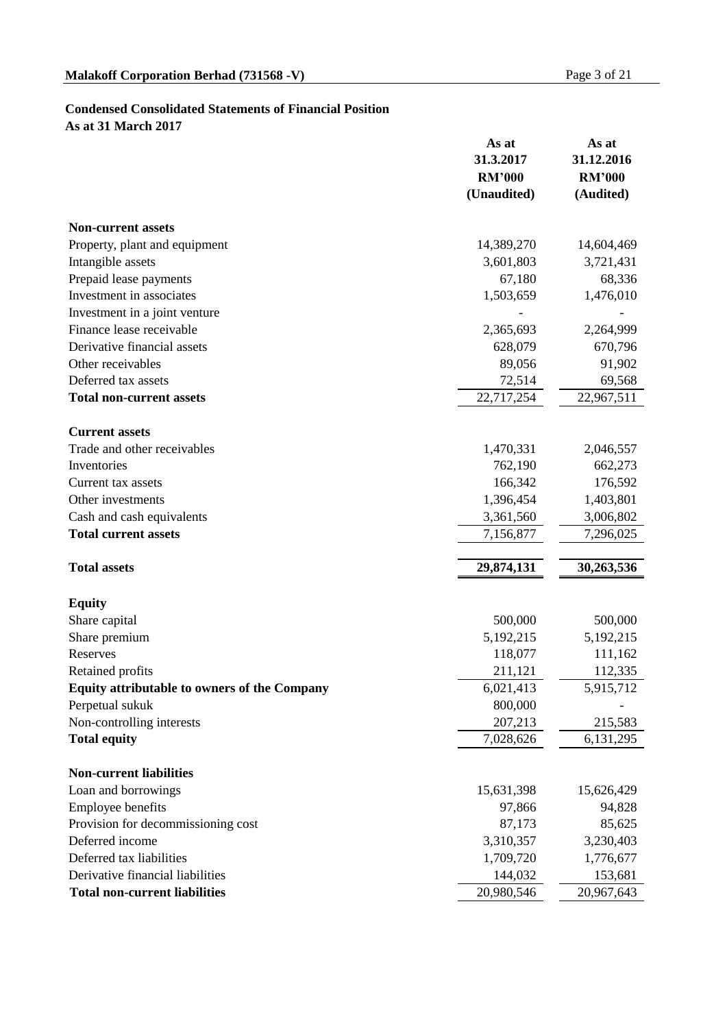# **Condensed Consolidated Statements of Financial Position**

**As at 31 March 2017**

|                                                     | As at<br>31.3.2017<br><b>RM'000</b><br>(Unaudited) | As at<br>31.12.2016<br><b>RM'000</b><br>(Audited) |
|-----------------------------------------------------|----------------------------------------------------|---------------------------------------------------|
| <b>Non-current assets</b>                           |                                                    |                                                   |
| Property, plant and equipment                       | 14,389,270                                         | 14,604,469                                        |
| Intangible assets                                   | 3,601,803                                          | 3,721,431                                         |
| Prepaid lease payments                              | 67,180                                             | 68,336                                            |
| Investment in associates                            | 1,503,659                                          | 1,476,010                                         |
| Investment in a joint venture                       |                                                    |                                                   |
| Finance lease receivable                            | 2,365,693                                          | 2,264,999                                         |
| Derivative financial assets                         | 628,079                                            | 670,796                                           |
| Other receivables                                   | 89,056                                             | 91,902                                            |
| Deferred tax assets                                 | 72,514                                             | 69,568                                            |
| <b>Total non-current assets</b>                     | 22,717,254                                         | 22,967,511                                        |
| <b>Current assets</b>                               |                                                    |                                                   |
| Trade and other receivables                         | 1,470,331                                          | 2,046,557                                         |
| Inventories                                         | 762,190                                            | 662,273                                           |
| Current tax assets                                  | 166,342                                            | 176,592                                           |
| Other investments                                   | 1,396,454                                          | 1,403,801                                         |
| Cash and cash equivalents                           | 3,361,560                                          | 3,006,802                                         |
| <b>Total current assets</b>                         | 7,156,877                                          | 7,296,025                                         |
| <b>Total assets</b>                                 | 29,874,131                                         | 30,263,536                                        |
| <b>Equity</b>                                       |                                                    |                                                   |
| Share capital                                       | 500,000                                            | 500,000                                           |
| Share premium                                       | 5,192,215                                          | 5, 192, 215                                       |
| Reserves                                            | 118,077                                            | 111,162                                           |
| Retained profits                                    | 211,121                                            | 112,335                                           |
| <b>Equity attributable to owners of the Company</b> | 6,021,413                                          | 5,915,712                                         |
| Perpetual sukuk                                     | 800,000                                            |                                                   |
| Non-controlling interests                           | 207,213                                            | 215,583                                           |
| <b>Total equity</b>                                 | 7,028,626                                          | 6,131,295                                         |
| <b>Non-current liabilities</b>                      |                                                    |                                                   |
| Loan and borrowings                                 | 15,631,398                                         | 15,626,429                                        |
| Employee benefits                                   | 97,866                                             | 94,828                                            |
| Provision for decommissioning cost                  | 87,173                                             | 85,625                                            |
| Deferred income                                     | 3,310,357                                          | 3,230,403                                         |
| Deferred tax liabilities                            | 1,709,720                                          | 1,776,677                                         |
| Derivative financial liabilities                    | 144,032                                            | 153,681                                           |
| <b>Total non-current liabilities</b>                | 20,980,546                                         | 20,967,643                                        |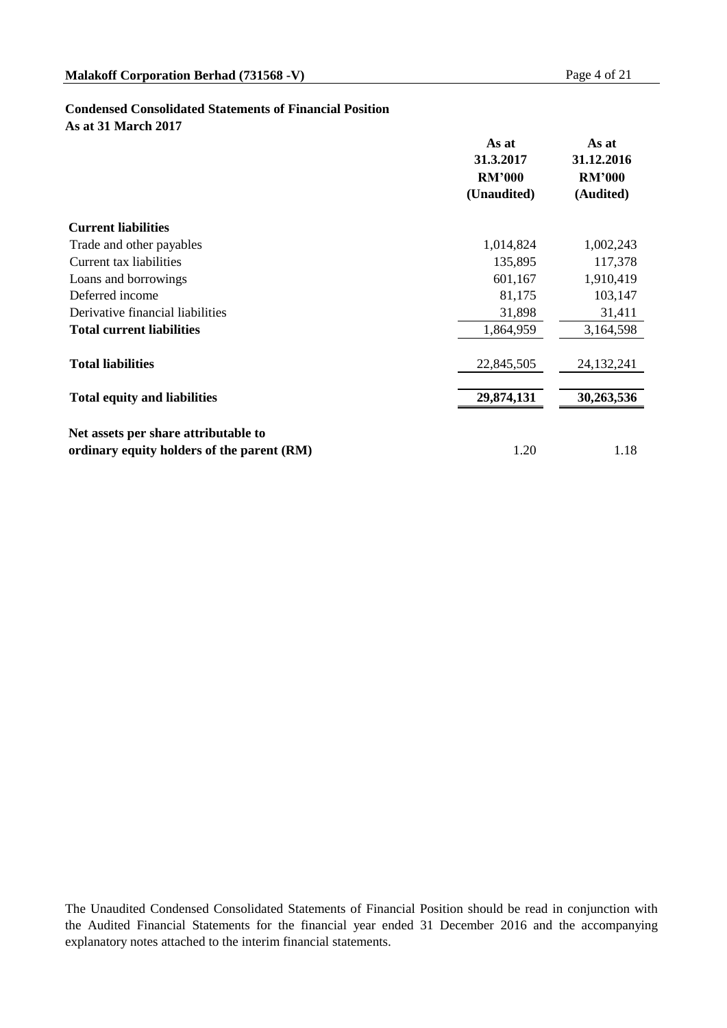#### **Condensed Consolidated Statements of Financial Position**

**As at 31 March 2017**

|                                            | As at<br>31.3.2017           | As at<br>31.12.2016        |  |
|--------------------------------------------|------------------------------|----------------------------|--|
|                                            | <b>RM'000</b><br>(Unaudited) | <b>RM'000</b><br>(Audited) |  |
|                                            |                              |                            |  |
| <b>Current liabilities</b>                 |                              |                            |  |
| Trade and other payables                   | 1,014,824                    | 1,002,243                  |  |
| Current tax liabilities                    | 135,895                      | 117,378                    |  |
| Loans and borrowings                       | 601,167                      | 1,910,419                  |  |
| Deferred income                            | 81,175                       | 103,147                    |  |
| Derivative financial liabilities           | 31,898                       | 31,411                     |  |
| <b>Total current liabilities</b>           | 1,864,959                    | 3,164,598                  |  |
| <b>Total liabilities</b>                   | 22,845,505                   | 24, 132, 241               |  |
| <b>Total equity and liabilities</b>        | 29,874,131                   | 30,263,536                 |  |
|                                            |                              |                            |  |
| Net assets per share attributable to       |                              |                            |  |
| ordinary equity holders of the parent (RM) | 1.20                         | 1.18                       |  |

The Unaudited Condensed Consolidated Statements of Financial Position should be read in conjunction with the Audited Financial Statements for the financial year ended 31 December 2016 and the accompanying explanatory notes attached to the interim financial statements.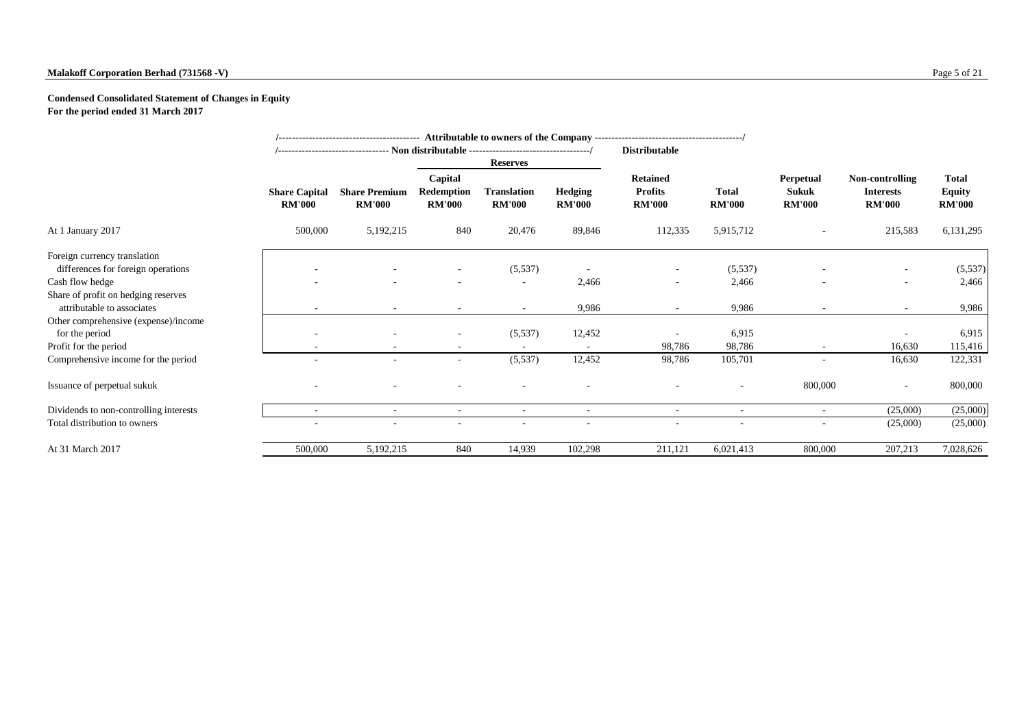#### **Malakoff Corporation Berhad (731568 -V)** Page 5 of 21

#### **Condensed Consolidated Statement of Changes in Equity For the period ended 31 March 2017**

|                                        |                                       | /--------------------------------- Non distributable -----------------------------------/ |                                               |                                     |                                 |                                                    |                               |                                                   |                                                      |                                                |
|----------------------------------------|---------------------------------------|-------------------------------------------------------------------------------------------|-----------------------------------------------|-------------------------------------|---------------------------------|----------------------------------------------------|-------------------------------|---------------------------------------------------|------------------------------------------------------|------------------------------------------------|
|                                        |                                       |                                                                                           |                                               | <b>Reserves</b>                     |                                 |                                                    |                               |                                                   |                                                      |                                                |
|                                        | <b>Share Capital</b><br><b>RM'000</b> | <b>Share Premium</b><br><b>RM'000</b>                                                     | Capital<br><b>Redemption</b><br><b>RM'000</b> | <b>Translation</b><br><b>RM'000</b> | <b>Hedging</b><br><b>RM'000</b> | <b>Retained</b><br><b>Profits</b><br><b>RM'000</b> | <b>Total</b><br><b>RM'000</b> | <b>Perpetual</b><br><b>Sukuk</b><br><b>RM'000</b> | Non-controlling<br><b>Interests</b><br><b>RM'000</b> | <b>Total</b><br><b>Equity</b><br><b>RM'000</b> |
| At 1 January 2017                      | 500,000                               | 5,192,215                                                                                 | 840                                           | 20,476                              | 89,846                          | 112,335                                            | 5,915,712                     |                                                   | 215,583                                              | 6,131,295                                      |
| Foreign currency translation           |                                       |                                                                                           |                                               |                                     |                                 |                                                    |                               |                                                   |                                                      |                                                |
| differences for foreign operations     |                                       |                                                                                           |                                               | (5,537)                             | $\overline{\phantom{a}}$        | ۰                                                  | (5,537)                       |                                                   |                                                      | (5,537)                                        |
| Cash flow hedge                        |                                       |                                                                                           |                                               |                                     | 2,466                           | $\sim$                                             | 2,466                         |                                                   | $\sim$                                               | 2,466                                          |
| Share of profit on hedging reserves    |                                       |                                                                                           |                                               |                                     |                                 |                                                    |                               |                                                   |                                                      |                                                |
| attributable to associates             |                                       |                                                                                           |                                               | $\sim$                              | 9,986                           | $\sim$                                             | 9,986                         |                                                   | $\sim$                                               | 9,986                                          |
| Other comprehensive (expense)/income   |                                       |                                                                                           |                                               |                                     |                                 |                                                    |                               |                                                   |                                                      |                                                |
| for the period                         |                                       |                                                                                           |                                               | (5,537)                             | 12,452                          |                                                    | 6,915                         |                                                   |                                                      | 6,915                                          |
| Profit for the period                  |                                       |                                                                                           |                                               |                                     |                                 | 98,786                                             | 98,786                        | $\overline{\phantom{a}}$                          | 16,630                                               | 115,416                                        |
| Comprehensive income for the period    |                                       |                                                                                           | ٠                                             | (5,537)                             | 12,452                          | 98,786                                             | 105,701                       | ٠                                                 | 16,630                                               | 122,331                                        |
| Issuance of perpetual sukuk            |                                       |                                                                                           |                                               |                                     |                                 |                                                    |                               | 800,000                                           | $\overline{\phantom{a}}$                             | 800,000                                        |
| Dividends to non-controlling interests | $\sim$                                | $\overline{\phantom{a}}$                                                                  | $\overline{\phantom{a}}$                      | $\overline{\phantom{a}}$            | $\overline{\phantom{a}}$        | $\sim$                                             | ٠                             | $\overline{\phantom{a}}$                          | (25,000)                                             | (25,000)                                       |
| Total distribution to owners           |                                       |                                                                                           |                                               |                                     |                                 |                                                    |                               |                                                   | (25,000)                                             | (25,000)                                       |
| At 31 March 2017                       | 500,000                               | 5,192,215                                                                                 | 840                                           | 14,939                              | 102,298                         | 211,121                                            | 6,021,413                     | 800,000                                           | 207,213                                              | 7,028,626                                      |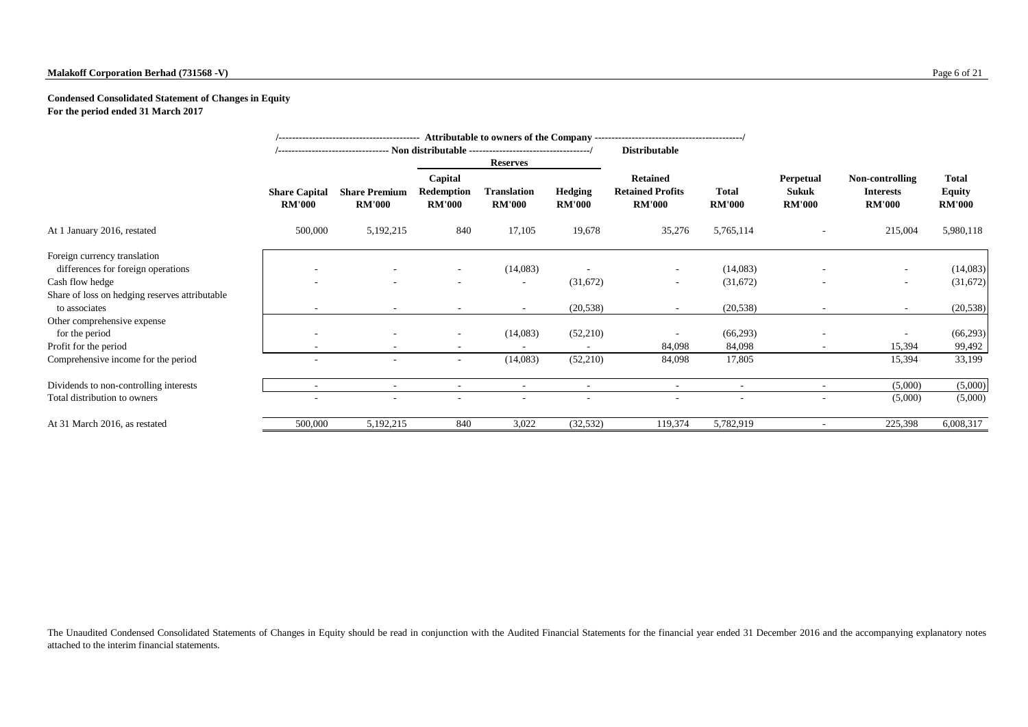#### **Malakoff Corporation Berhad (731568 -V)** Page 6 of 21

#### **Condensed Consolidated Statement of Changes in Equity For the period ended 31 March 2017**

|                                                                    |                                       |                                       |                                               | /--------------------------------- Non distributable ----------------------------------/ |                                 | <b>Distributable</b>                                        |                               |                                            |                                                      |                                                |
|--------------------------------------------------------------------|---------------------------------------|---------------------------------------|-----------------------------------------------|------------------------------------------------------------------------------------------|---------------------------------|-------------------------------------------------------------|-------------------------------|--------------------------------------------|------------------------------------------------------|------------------------------------------------|
|                                                                    |                                       |                                       |                                               | <b>Reserves</b>                                                                          |                                 |                                                             |                               |                                            |                                                      |                                                |
|                                                                    | <b>Share Capital</b><br><b>RM'000</b> | <b>Share Premium</b><br><b>RM'000</b> | Capital<br><b>Redemption</b><br><b>RM'000</b> | <b>Translation</b><br><b>RM'000</b>                                                      | <b>Hedging</b><br><b>RM'000</b> | <b>Retained</b><br><b>Retained Profits</b><br><b>RM'000</b> | <b>Total</b><br><b>RM'000</b> | <b>Perpetual</b><br>Sukuk<br><b>RM'000</b> | Non-controlling<br><b>Interests</b><br><b>RM'000</b> | <b>Total</b><br><b>Equity</b><br><b>RM'000</b> |
| At 1 January 2016, restated                                        | 500,000                               | 5, 192, 215                           | 840                                           | 17,105                                                                                   | 19,678                          | 35,276                                                      | 5,765,114                     |                                            | 215,004                                              | 5,980,118                                      |
| Foreign currency translation<br>differences for foreign operations |                                       |                                       |                                               | (14,083)                                                                                 |                                 |                                                             | (14,083)                      |                                            | $\sim$                                               | (14,083)                                       |
| Cash flow hedge                                                    |                                       |                                       |                                               | ٠                                                                                        | (31,672)                        | $\sim$                                                      | (31,672)                      |                                            | $\sim$                                               | (31,672)                                       |
| Share of loss on hedging reserves attributable<br>to associates    |                                       |                                       |                                               | $\sim$                                                                                   | (20, 538)                       | $\sim$                                                      | (20, 538)                     |                                            | $\sim$                                               | (20, 538)                                      |
| Other comprehensive expense<br>for the period                      |                                       |                                       | $\sim$                                        | (14,083)                                                                                 | (52,210)                        |                                                             | (66, 293)                     |                                            | $\sim$                                               | (66,293)                                       |
| Profit for the period                                              | ۰                                     |                                       | $\sim$                                        |                                                                                          | $\overline{\phantom{a}}$        | 84,098                                                      | 84,098                        |                                            | 15,394                                               | 99,492                                         |
| Comprehensive income for the period                                | $\overline{\phantom{a}}$              |                                       | $\sim$                                        | (14,083)                                                                                 | (52,210)                        | 84,098                                                      | 17,805                        |                                            | 15,394                                               | 33,199                                         |
| Dividends to non-controlling interests                             | ٠                                     |                                       | $\overline{\phantom{a}}$                      | ٠                                                                                        | $\overline{\phantom{a}}$        |                                                             |                               |                                            | (5,000)                                              | (5,000)                                        |
| Total distribution to owners                                       |                                       |                                       |                                               |                                                                                          |                                 |                                                             |                               |                                            | (5,000)                                              | (5,000)                                        |
| At 31 March 2016, as restated                                      | 500,000                               | 5,192,215                             | 840                                           | 3,022                                                                                    | (32, 532)                       | 119,374                                                     | 5,782,919                     |                                            | 225,398                                              | 6,008,317                                      |

The Unaudited Condensed Consolidated Statements of Changes in Equity should be read in conjunction with the Audited Financial Statements for the financial year ended 31 December 2016 and the accompanying explanatory notes attached to the interim financial statements.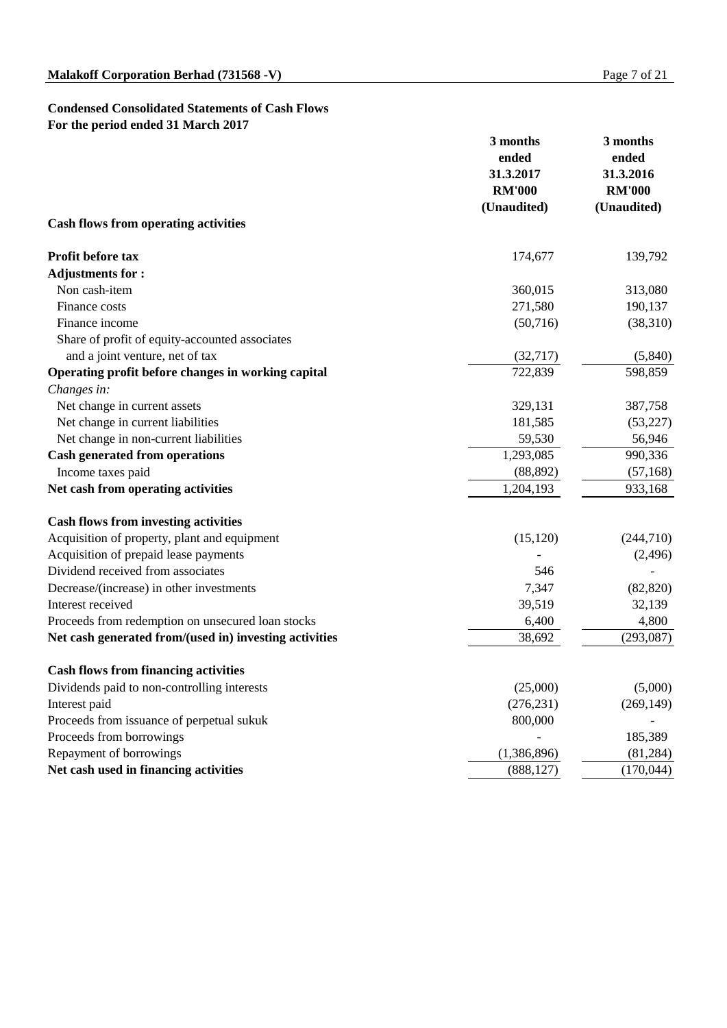## **Condensed Consolidated Statements of Cash Flows For the period ended 31 March 2017**

|                                                        | 3 months<br>ended<br>31.3.2017 | 3 months<br>ended<br>31.3.2016 |  |
|--------------------------------------------------------|--------------------------------|--------------------------------|--|
|                                                        | <b>RM'000</b>                  | <b>RM'000</b>                  |  |
| <b>Cash flows from operating activities</b>            | (Unaudited)                    | (Unaudited)                    |  |
| Profit before tax                                      | 174,677                        | 139,792                        |  |
| <b>Adjustments for:</b>                                |                                |                                |  |
| Non cash-item                                          | 360,015                        | 313,080                        |  |
| Finance costs                                          | 271,580                        | 190,137                        |  |
| Finance income                                         | (50,716)                       | (38,310)                       |  |
| Share of profit of equity-accounted associates         |                                |                                |  |
| and a joint venture, net of tax                        | (32,717)                       | (5,840)                        |  |
| Operating profit before changes in working capital     | 722,839                        | 598,859                        |  |
| Changes in:                                            |                                |                                |  |
| Net change in current assets                           | 329,131                        | 387,758                        |  |
| Net change in current liabilities                      | 181,585                        | (53,227)                       |  |
| Net change in non-current liabilities                  | 59,530                         | 56,946                         |  |
| <b>Cash generated from operations</b>                  | 1,293,085                      | 990,336                        |  |
| Income taxes paid                                      | (88, 892)                      | (57, 168)                      |  |
| Net cash from operating activities                     | 1,204,193                      | 933,168                        |  |
| <b>Cash flows from investing activities</b>            |                                |                                |  |
| Acquisition of property, plant and equipment           | (15, 120)                      | (244, 710)                     |  |
| Acquisition of prepaid lease payments                  |                                | (2,496)                        |  |
| Dividend received from associates                      | 546                            |                                |  |
| Decrease/(increase) in other investments               | 7,347                          | (82, 820)                      |  |
| Interest received                                      | 39,519                         | 32,139                         |  |
| Proceeds from redemption on unsecured loan stocks      | 6,400                          | 4,800                          |  |
| Net cash generated from/(used in) investing activities | 38,692                         | (293,087)                      |  |
| <b>Cash flows from financing activities</b>            |                                |                                |  |
| Dividends paid to non-controlling interests            | (25,000)                       | (5,000)                        |  |
| Interest paid                                          | (276, 231)                     | (269, 149)                     |  |
| Proceeds from issuance of perpetual sukuk              | 800,000                        |                                |  |
| Proceeds from borrowings                               |                                | 185,389                        |  |
| Repayment of borrowings                                | (1,386,896)                    | (81, 284)                      |  |
| Net cash used in financing activities                  | (888, 127)                     | (170, 044)                     |  |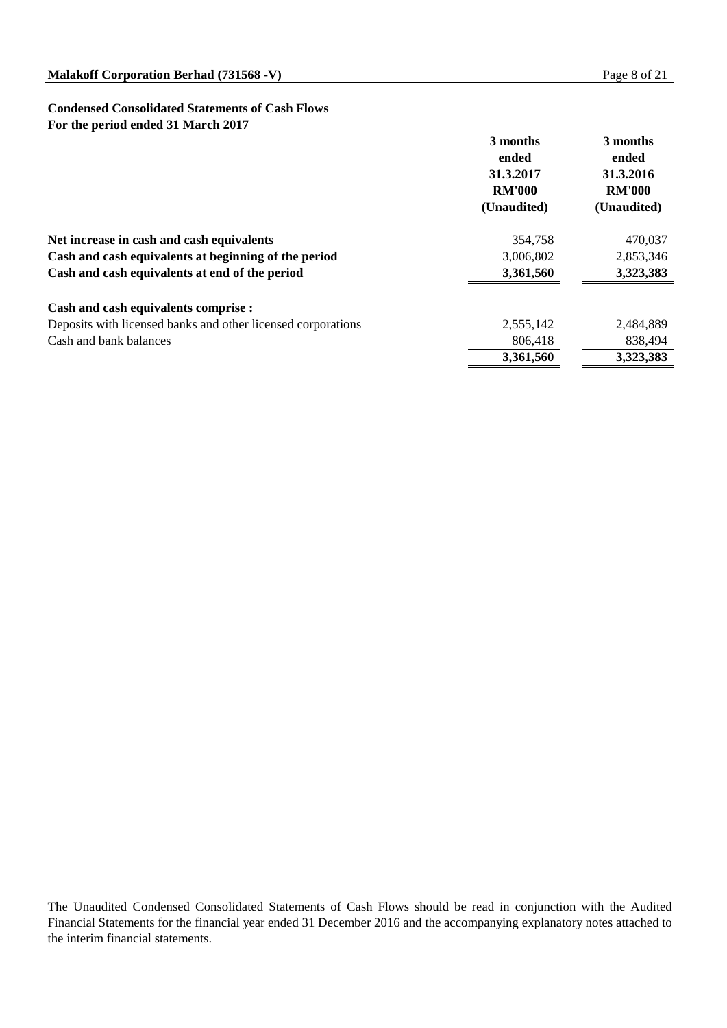#### **Condensed Consolidated Statements of Cash Flows For the period ended 31 March 2017**

|                                                              | 3 months<br>ended<br>31.3.2017<br><b>RM'000</b><br>(Unaudited) | 3 months<br>ended<br>31.3.2016<br><b>RM'000</b><br>(Unaudited) |
|--------------------------------------------------------------|----------------------------------------------------------------|----------------------------------------------------------------|
| Net increase in cash and cash equivalents                    | 354,758                                                        | 470,037                                                        |
| Cash and cash equivalents at beginning of the period         | 3,006,802                                                      | 2,853,346                                                      |
| Cash and cash equivalents at end of the period               | 3,361,560                                                      | 3,323,383                                                      |
| Cash and cash equivalents comprise :                         |                                                                |                                                                |
| Deposits with licensed banks and other licensed corporations | 2,555,142                                                      | 2,484,889                                                      |
| Cash and bank balances                                       | 806,418                                                        | 838,494                                                        |
|                                                              | 3,361,560                                                      | 3,323,383                                                      |

The Unaudited Condensed Consolidated Statements of Cash Flows should be read in conjunction with the Audited Financial Statements for the financial year ended 31 December 2016 and the accompanying explanatory notes attached to the interim financial statements.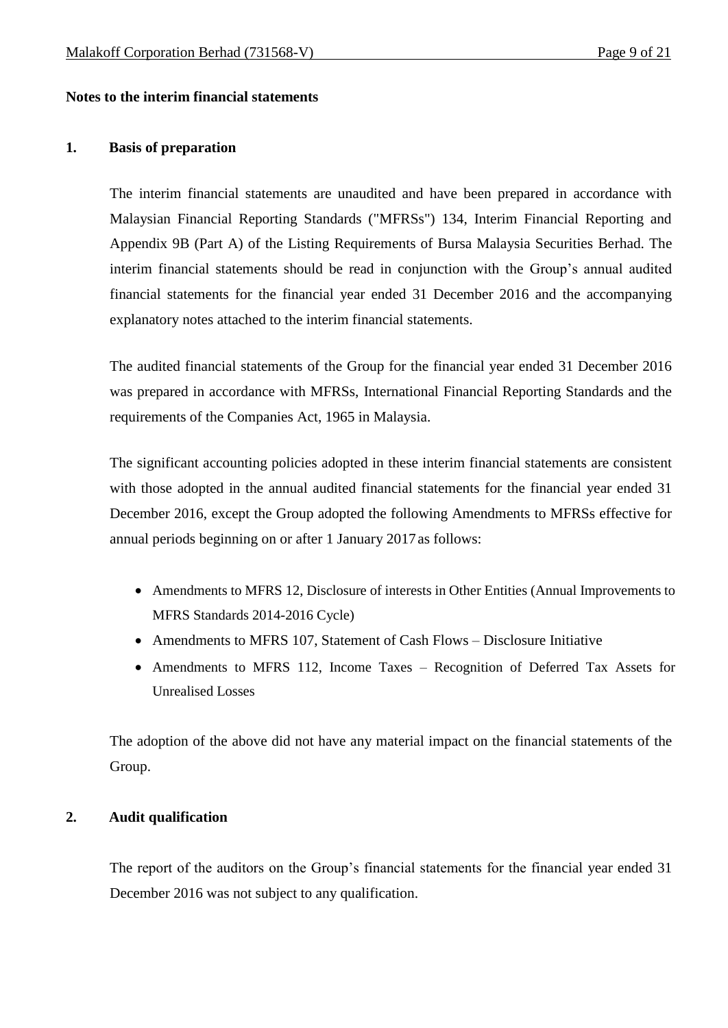#### **Notes to the interim financial statements**

#### **1. Basis of preparation**

The interim financial statements are unaudited and have been prepared in accordance with Malaysian Financial Reporting Standards ("MFRSs") 134, Interim Financial Reporting and Appendix 9B (Part A) of the Listing Requirements of Bursa Malaysia Securities Berhad. The interim financial statements should be read in conjunction with the Group's annual audited financial statements for the financial year ended 31 December 2016 and the accompanying explanatory notes attached to the interim financial statements.

The audited financial statements of the Group for the financial year ended 31 December 2016 was prepared in accordance with MFRSs, International Financial Reporting Standards and the requirements of the Companies Act, 1965 in Malaysia.

The significant accounting policies adopted in these interim financial statements are consistent with those adopted in the annual audited financial statements for the financial year ended 31 December 2016, except the Group adopted the following Amendments to MFRSs effective for annual periods beginning on or after 1 January 2017as follows:

- Amendments to MFRS 12, Disclosure of interests in Other Entities (Annual Improvements to MFRS Standards 2014-2016 Cycle)
- Amendments to MFRS 107, Statement of Cash Flows Disclosure Initiative
- Amendments to MFRS 112, Income Taxes Recognition of Deferred Tax Assets for Unrealised Losses

The adoption of the above did not have any material impact on the financial statements of the Group.

#### **2. Audit qualification**

The report of the auditors on the Group's financial statements for the financial year ended 31 December 2016 was not subject to any qualification.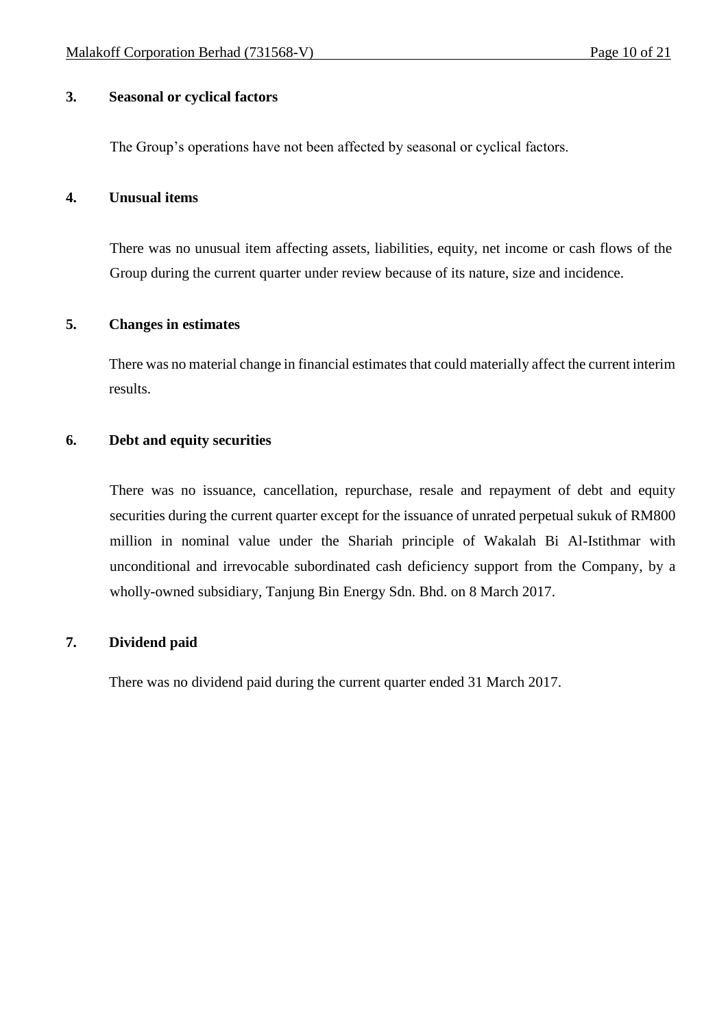#### **3. Seasonal or cyclical factors**

The Group's operations have not been affected by seasonal or cyclical factors.

## **4. Unusual items**

There was no unusual item affecting assets, liabilities, equity, net income or cash flows of the Group during the current quarter under review because of its nature, size and incidence.

#### **5. Changes in estimates**

There was no material change in financial estimates that could materially affect the current interim results.

#### **6. Debt and equity securities**

There was no issuance, cancellation, repurchase, resale and repayment of debt and equity securities during the current quarter except for the issuance of unrated perpetual sukuk of RM800 million in nominal value under the Shariah principle of Wakalah Bi Al-Istithmar with unconditional and irrevocable subordinated cash deficiency support from the Company, by a wholly-owned subsidiary, Tanjung Bin Energy Sdn. Bhd. on 8 March 2017.

# **7. Dividend paid**

There was no dividend paid during the current quarter ended 31 March 2017.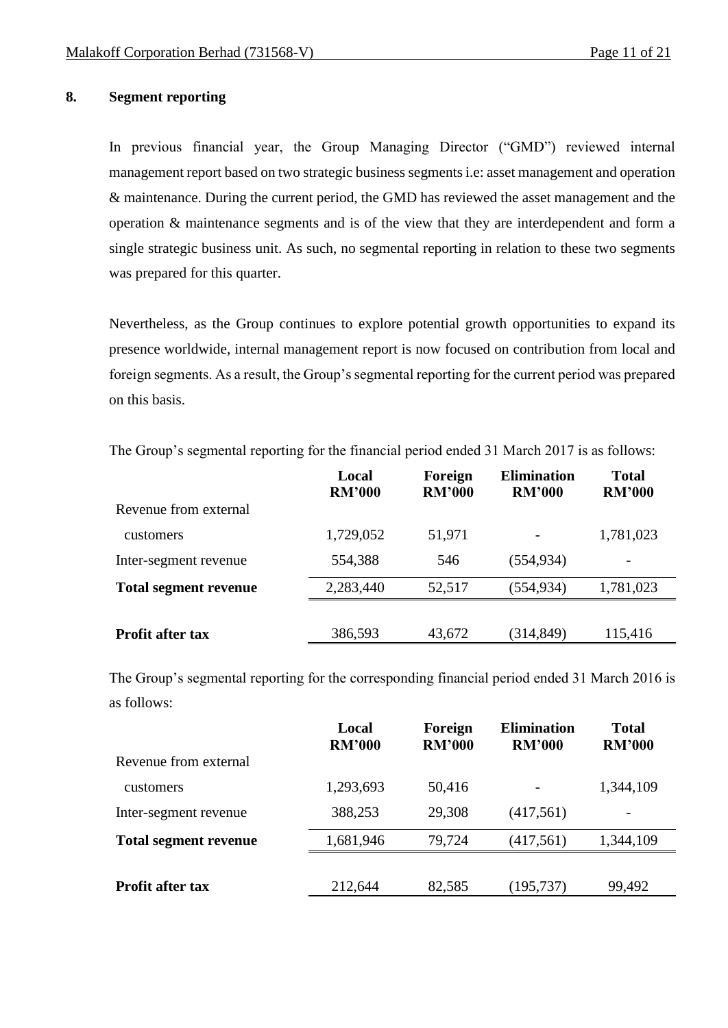## **8. Segment reporting**

In previous financial year, the Group Managing Director ("GMD") reviewed internal management report based on two strategic business segments i.e: asset management and operation & maintenance. During the current period, the GMD has reviewed the asset management and the operation & maintenance segments and is of the view that they are interdependent and form a single strategic business unit. As such, no segmental reporting in relation to these two segments was prepared for this quarter.

Nevertheless, as the Group continues to explore potential growth opportunities to expand its presence worldwide, internal management report is now focused on contribution from local and foreign segments. As a result, the Group's segmental reporting for the current period was prepared on this basis.

|                              | Local<br><b>RM'000</b> | Foreign<br><b>RM'000</b> | <b>Elimination</b><br><b>RM'000</b> | <b>Total</b><br><b>RM'000</b> |
|------------------------------|------------------------|--------------------------|-------------------------------------|-------------------------------|
| Revenue from external        |                        |                          |                                     |                               |
| <b>customers</b>             | 1,729,052              | 51,971                   | $\overline{\phantom{a}}$            | 1,781,023                     |
| Inter-segment revenue        | 554,388                | 546                      | (554, 934)                          |                               |
| <b>Total segment revenue</b> | 2,283,440              | 52,517                   | (554, 934)                          | 1,781,023                     |
|                              |                        |                          |                                     |                               |
| <b>Profit after tax</b>      | 386,593                | 43,672                   | (314, 849)                          | 115,416                       |

The Group's segmental reporting for the financial period ended 31 March 2017 is as follows:

The Group's segmental reporting for the corresponding financial period ended 31 March 2016 is as follows:

|                              | Local<br><b>RM'000</b> | Foreign<br><b>RM'000</b> | <b>Elimination</b><br><b>RM'000</b> | <b>Total</b><br><b>RM'000</b> |  |
|------------------------------|------------------------|--------------------------|-------------------------------------|-------------------------------|--|
| Revenue from external        |                        |                          |                                     |                               |  |
| customers                    | 1,293,693              | 50,416                   | $\overline{\phantom{a}}$            | 1,344,109                     |  |
| Inter-segment revenue        | 388,253                | 29,308                   | (417,561)                           | $\qquad \qquad \blacksquare$  |  |
| <b>Total segment revenue</b> | 1,681,946              | 79,724                   | (417,561)                           | 1,344,109                     |  |
|                              |                        |                          |                                     |                               |  |
| <b>Profit after tax</b>      | 212,644                | 82,585                   | (195, 737)                          | 99,492                        |  |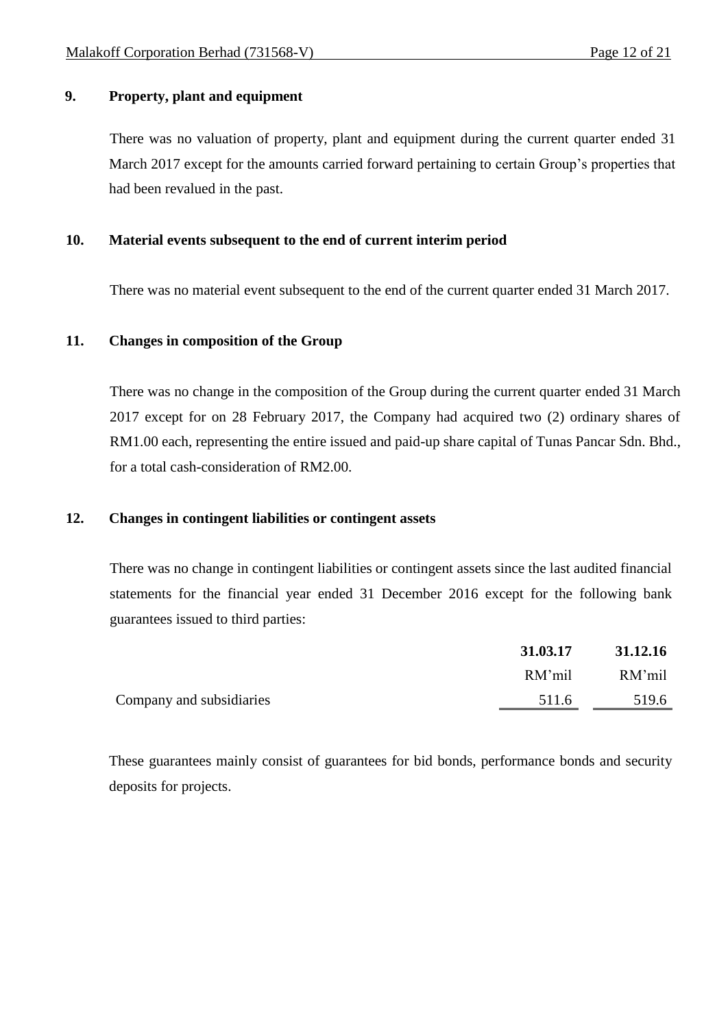# **9. Property, plant and equipment**

There was no valuation of property, plant and equipment during the current quarter ended 31 March 2017 except for the amounts carried forward pertaining to certain Group's properties that had been revalued in the past.

# **10. Material events subsequent to the end of current interim period**

There was no material event subsequent to the end of the current quarter ended 31 March 2017.

#### **11. Changes in composition of the Group**

There was no change in the composition of the Group during the current quarter ended 31 March 2017 except for on 28 February 2017, the Company had acquired two (2) ordinary shares of RM1.00 each, representing the entire issued and paid-up share capital of Tunas Pancar Sdn. Bhd., for a total cash-consideration of RM2.00.

### **12. Changes in contingent liabilities or contingent assets**

There was no change in contingent liabilities or contingent assets since the last audited financial statements for the financial year ended 31 December 2016 except for the following bank guarantees issued to third parties:

|                          | 31.03.17 | 31.12.16 |
|--------------------------|----------|----------|
|                          | RM'mil   | RM'mil   |
| Company and subsidiaries | 511.6    | 519.6    |

These guarantees mainly consist of guarantees for bid bonds, performance bonds and security deposits for projects.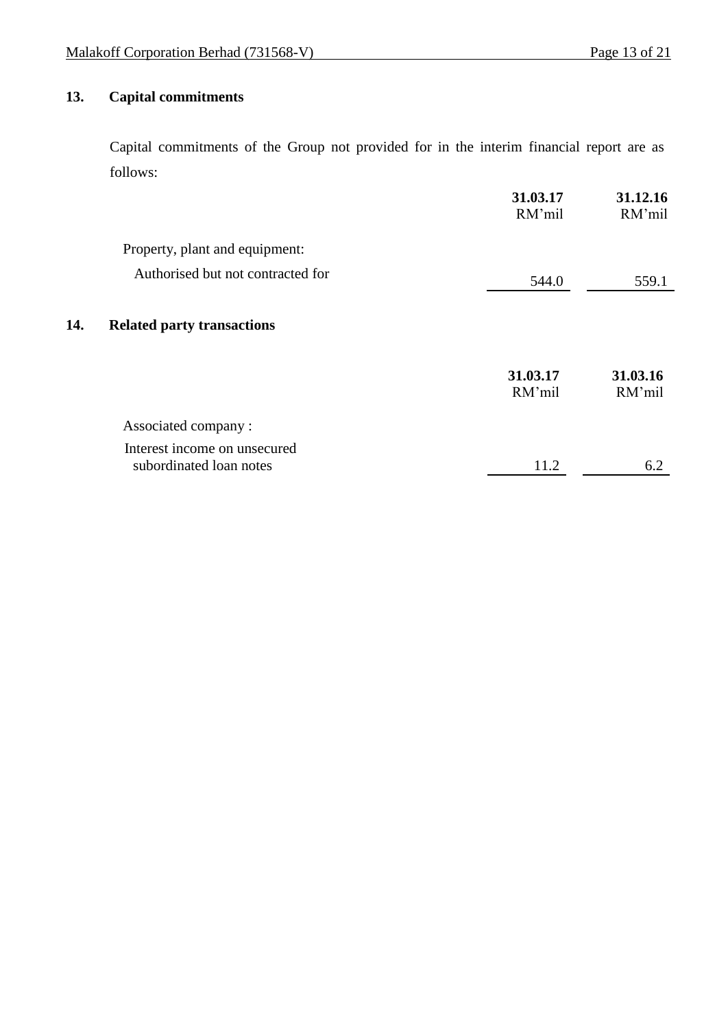# **13. Capital commitments**

 $14.$ 

Capital commitments of the Group not provided for in the interim financial report are as follows:

|                                                         | 31.03.17<br>RM'mil | 31.12.16<br>RM'mil |
|---------------------------------------------------------|--------------------|--------------------|
| Property, plant and equipment:                          |                    |                    |
| Authorised but not contracted for                       | 544.0              | 559.1              |
| <b>Related party transactions</b>                       |                    |                    |
|                                                         | 31.03.17<br>RM'mil | 31.03.16<br>RM'mil |
| Associated company:                                     |                    |                    |
| Interest income on unsecured<br>subordinated loan notes | 11.2               | 6.2                |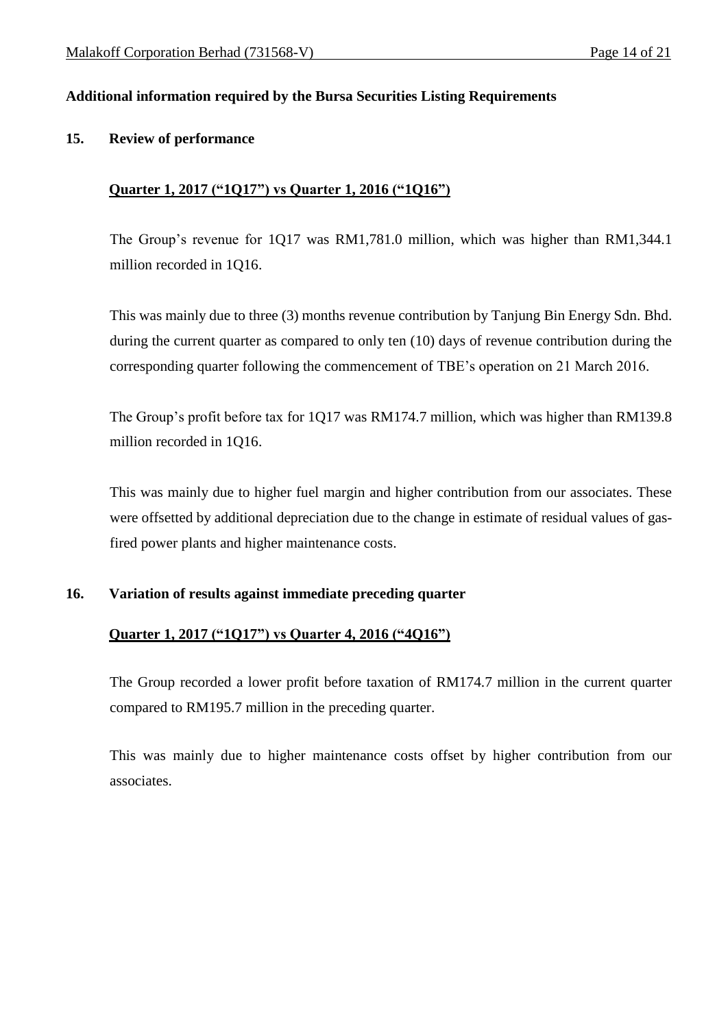# **Additional information required by the Bursa Securities Listing Requirements**

#### **15. Review of performance**

# **Quarter 1, 2017 ("1Q17") vs Quarter 1, 2016 ("1Q16")**

The Group's revenue for 1Q17 was RM1,781.0 million, which was higher than RM1,344.1 million recorded in 1Q16.

This was mainly due to three (3) months revenue contribution by Tanjung Bin Energy Sdn. Bhd. during the current quarter as compared to only ten (10) days of revenue contribution during the corresponding quarter following the commencement of TBE's operation on 21 March 2016.

The Group's profit before tax for 1Q17 was RM174.7 million, which was higher than RM139.8 million recorded in 1Q16.

This was mainly due to higher fuel margin and higher contribution from our associates. These were offsetted by additional depreciation due to the change in estimate of residual values of gasfired power plants and higher maintenance costs.

## **16. Variation of results against immediate preceding quarter**

## **Quarter 1, 2017 ("1Q17") vs Quarter 4, 2016 ("4Q16")**

The Group recorded a lower profit before taxation of RM174.7 million in the current quarter compared to RM195.7 million in the preceding quarter.

This was mainly due to higher maintenance costs offset by higher contribution from our associates.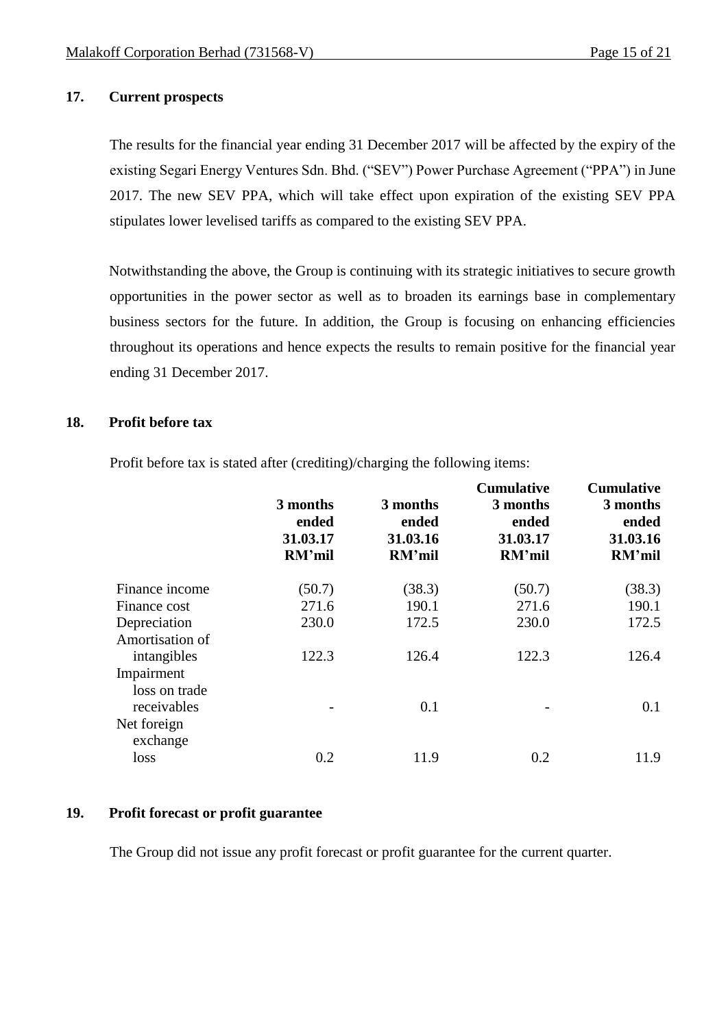# **17. Current prospects**

The results for the financial year ending 31 December 2017 will be affected by the expiry of the existing Segari Energy Ventures Sdn. Bhd. ("SEV") Power Purchase Agreement ("PPA") in June 2017. The new SEV PPA, which will take effect upon expiration of the existing SEV PPA stipulates lower levelised tariffs as compared to the existing SEV PPA.

Notwithstanding the above, the Group is continuing with its strategic initiatives to secure growth opportunities in the power sector as well as to broaden its earnings base in complementary business sectors for the future. In addition, the Group is focusing on enhancing efficiencies throughout its operations and hence expects the results to remain positive for the financial year ending 31 December 2017.

## **18. Profit before tax**

Profit before tax is stated after (crediting)/charging the following items:

|                                            | 3 months<br>ended<br>31.03.17<br>RM'mil | 3 months<br>ended<br>31.03.16<br>RM'mil | <b>Cumulative</b><br>3 months<br>ended<br>31.03.17<br>RM'mil | <b>Cumulative</b><br>3 months<br>ended<br>31.03.16<br>RM'mil |
|--------------------------------------------|-----------------------------------------|-----------------------------------------|--------------------------------------------------------------|--------------------------------------------------------------|
| Finance income                             | (50.7)                                  | (38.3)                                  | (50.7)                                                       | (38.3)                                                       |
| Finance cost                               | 271.6                                   | 190.1                                   | 271.6                                                        | 190.1                                                        |
| Depreciation                               | 230.0                                   | 172.5                                   | 230.0                                                        | 172.5                                                        |
| Amortisation of                            |                                         |                                         |                                                              |                                                              |
| intangibles                                | 122.3                                   | 126.4                                   | 122.3                                                        | 126.4                                                        |
| Impairment<br>loss on trade<br>receivables |                                         | 0.1                                     |                                                              | 0.1                                                          |
| Net foreign<br>exchange                    |                                         |                                         |                                                              |                                                              |
| loss                                       | 0.2                                     | 11.9                                    | 0.2                                                          | 11.9                                                         |

# **19. Profit forecast or profit guarantee**

The Group did not issue any profit forecast or profit guarantee for the current quarter.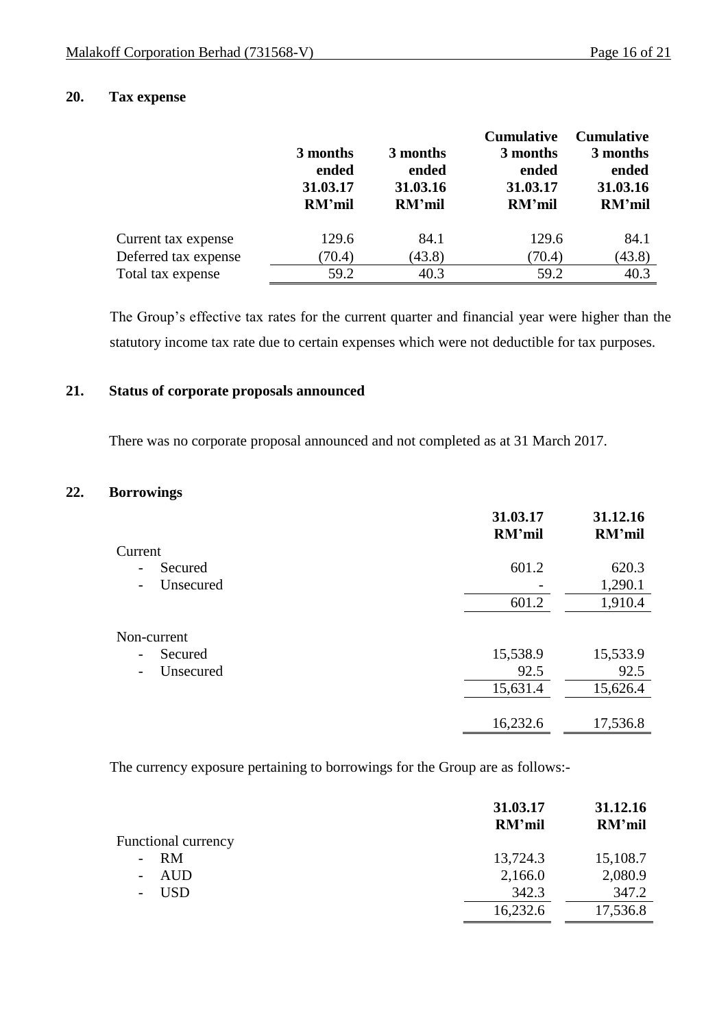# **20. Tax expense**

|                      | 3 months<br>ended<br>31.03.17<br>RM'mil | 3 months<br>ended<br>31.03.16<br><b>RM'mil</b> | <b>Cumulative</b><br>3 months<br>ended<br>31.03.17<br><b>RM'mil</b> | <b>Cumulative</b><br>3 months<br>ended<br>31.03.16<br>RM'mil |
|----------------------|-----------------------------------------|------------------------------------------------|---------------------------------------------------------------------|--------------------------------------------------------------|
| Current tax expense  | 129.6                                   | 84.1                                           | 129.6                                                               | 84.1                                                         |
| Deferred tax expense | (70.4)                                  | (43.8)                                         | (70.4)                                                              | (43.8)                                                       |
| Total tax expense    | 59.2                                    | 40.3                                           | 59.2                                                                | 40.3                                                         |

The Group's effective tax rates for the current quarter and financial year were higher than the statutory income tax rate due to certain expenses which were not deductible for tax purposes.

# **21. Status of corporate proposals announced**

There was no corporate proposal announced and not completed as at 31 March 2017.

## **22. Borrowings**

|                                       | 31.03.17<br><b>RM'mil</b> | 31.12.16<br><b>RM'mil</b> |
|---------------------------------------|---------------------------|---------------------------|
| Current                               |                           |                           |
| Secured<br>$\overline{a}$             | 601.2                     | 620.3                     |
| Unsecured<br>$\overline{\phantom{a}}$ |                           | 1,290.1                   |
|                                       | 601.2                     | 1,910.4                   |
| Non-current                           |                           |                           |
| Secured<br>$\overline{\phantom{a}}$   | 15,538.9                  | 15,533.9                  |
| Unsecured<br>$\overline{\phantom{a}}$ | 92.5                      | 92.5                      |
|                                       | 15,631.4                  | 15,626.4                  |
|                                       | 16,232.6                  | 17,536.8                  |

The currency exposure pertaining to borrowings for the Group are as follows:-

|                                 | 31.03.17<br>RM'mil | 31.12.16<br>RM'mil |
|---------------------------------|--------------------|--------------------|
| <b>Functional currency</b>      |                    |                    |
| <b>RM</b>                       | 13,724.3           | 15,108.7           |
| AUD<br>$\overline{\phantom{a}}$ | 2,166.0            | 2,080.9            |
| <b>USD</b>                      | 342.3              | 347.2              |
|                                 | 16,232.6           | 17,536.8           |
|                                 |                    |                    |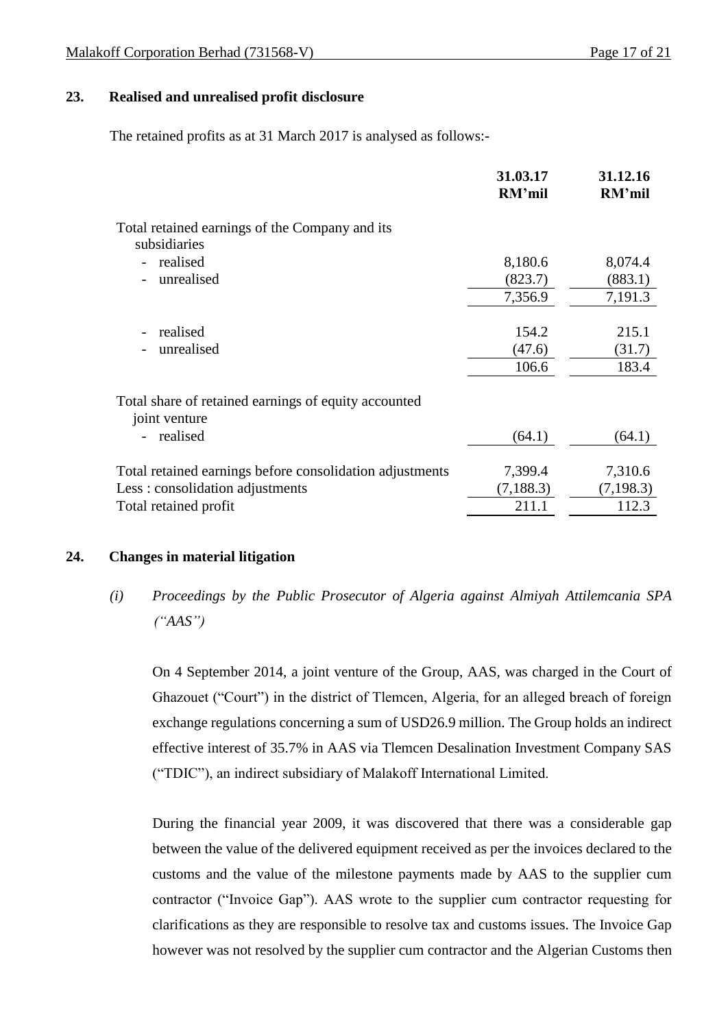## **23. Realised and unrealised profit disclosure**

The retained profits as at 31 March 2017 is analysed as follows:-

|                                                                       | 31.03.17<br>RM'mil | 31.12.16<br>RM'mil |
|-----------------------------------------------------------------------|--------------------|--------------------|
| Total retained earnings of the Company and its<br>subsidiaries        |                    |                    |
| realised                                                              | 8,180.6            | 8,074.4            |
| unrealised                                                            | (823.7)            | (883.1)            |
|                                                                       | 7,356.9            | 7,191.3            |
|                                                                       |                    |                    |
| realised                                                              | 154.2              | 215.1              |
| unrealised                                                            | (47.6)             | (31.7)             |
|                                                                       | 106.6              | 183.4              |
| Total share of retained earnings of equity accounted<br>joint venture |                    |                    |
| realised                                                              | (64.1)             | (64.1)             |
| Total retained earnings before consolidation adjustments              | 7,399.4            | 7,310.6            |
| Less: consolidation adjustments                                       | (7, 188.3)         | (7, 198.3)         |
| Total retained profit                                                 | 211.1              | 112.3              |
|                                                                       |                    |                    |

#### **24. Changes in material litigation**

*(i) Proceedings by the Public Prosecutor of Algeria against Almiyah Attilemcania SPA ("AAS")*

On 4 September 2014, a joint venture of the Group, AAS, was charged in the Court of Ghazouet ("Court") in the district of Tlemcen, Algeria, for an alleged breach of foreign exchange regulations concerning a sum of USD26.9 million. The Group holds an indirect effective interest of 35.7% in AAS via Tlemcen Desalination Investment Company SAS ("TDIC"), an indirect subsidiary of Malakoff International Limited.

During the financial year 2009, it was discovered that there was a considerable gap between the value of the delivered equipment received as per the invoices declared to the customs and the value of the milestone payments made by AAS to the supplier cum contractor ("Invoice Gap"). AAS wrote to the supplier cum contractor requesting for clarifications as they are responsible to resolve tax and customs issues. The Invoice Gap however was not resolved by the supplier cum contractor and the Algerian Customs then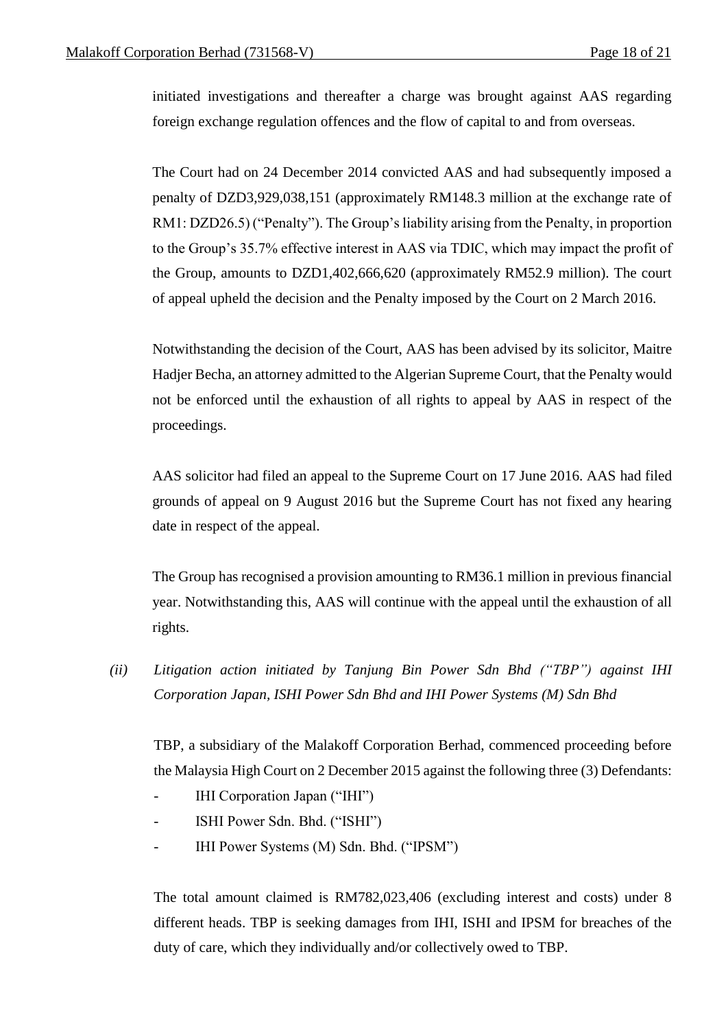initiated investigations and thereafter a charge was brought against AAS regarding foreign exchange regulation offences and the flow of capital to and from overseas.

The Court had on 24 December 2014 convicted AAS and had subsequently imposed a penalty of DZD3,929,038,151 (approximately RM148.3 million at the exchange rate of RM1: DZD26.5) ("Penalty"). The Group's liability arising from the Penalty, in proportion to the Group's 35.7% effective interest in AAS via TDIC, which may impact the profit of the Group, amounts to DZD1,402,666,620 (approximately RM52.9 million). The court of appeal upheld the decision and the Penalty imposed by the Court on 2 March 2016.

Notwithstanding the decision of the Court, AAS has been advised by its solicitor, Maitre Hadjer Becha, an attorney admitted to the Algerian Supreme Court, that the Penalty would not be enforced until the exhaustion of all rights to appeal by AAS in respect of the proceedings.

AAS solicitor had filed an appeal to the Supreme Court on 17 June 2016. AAS had filed grounds of appeal on 9 August 2016 but the Supreme Court has not fixed any hearing date in respect of the appeal.

The Group has recognised a provision amounting to RM36.1 million in previous financial year. Notwithstanding this, AAS will continue with the appeal until the exhaustion of all rights.

*(ii) Litigation action initiated by Tanjung Bin Power Sdn Bhd ("TBP") against IHI Corporation Japan, ISHI Power Sdn Bhd and IHI Power Systems (M) Sdn Bhd*

TBP, a subsidiary of the Malakoff Corporation Berhad, commenced proceeding before the Malaysia High Court on 2 December 2015 against the following three (3) Defendants:

- IHI Corporation Japan ("IHI")
- ISHI Power Sdn. Bhd. ("ISHI")
- IHI Power Systems (M) Sdn. Bhd. ("IPSM")

The total amount claimed is RM782,023,406 (excluding interest and costs) under 8 different heads. TBP is seeking damages from IHI, ISHI and IPSM for breaches of the duty of care, which they individually and/or collectively owed to TBP.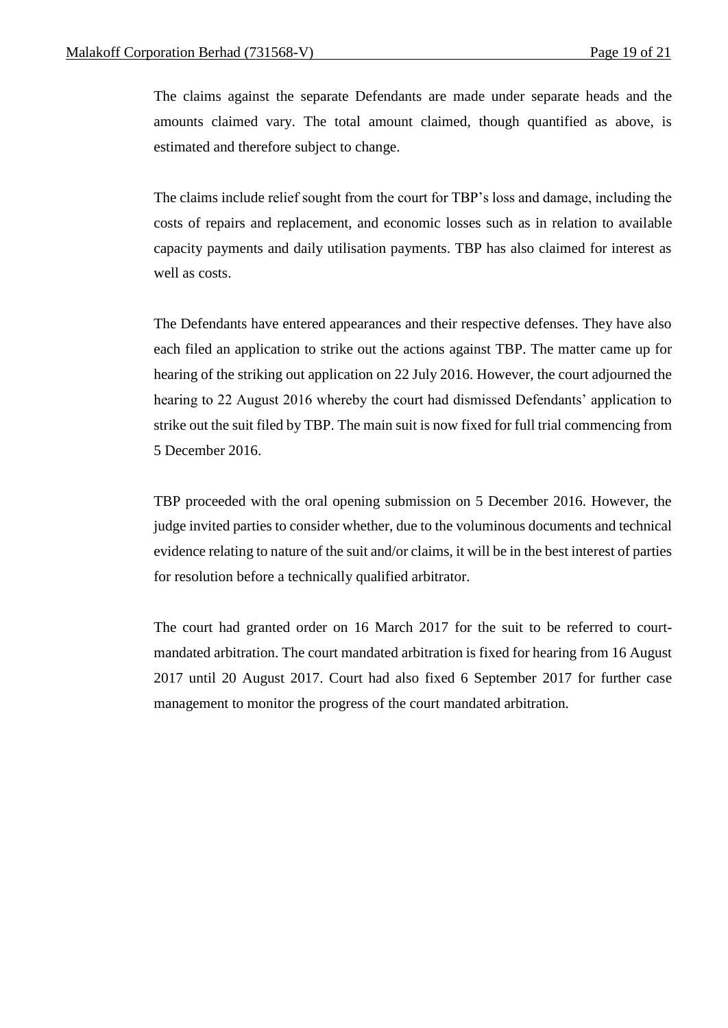The claims against the separate Defendants are made under separate heads and the amounts claimed vary. The total amount claimed, though quantified as above, is estimated and therefore subject to change.

The claims include relief sought from the court for TBP's loss and damage, including the costs of repairs and replacement, and economic losses such as in relation to available capacity payments and daily utilisation payments. TBP has also claimed for interest as well as costs.

The Defendants have entered appearances and their respective defenses. They have also each filed an application to strike out the actions against TBP. The matter came up for hearing of the striking out application on 22 July 2016. However, the court adjourned the hearing to 22 August 2016 whereby the court had dismissed Defendants' application to strike out the suit filed by TBP. The main suit is now fixed for full trial commencing from 5 December 2016.

TBP proceeded with the oral opening submission on 5 December 2016. However, the judge invited parties to consider whether, due to the voluminous documents and technical evidence relating to nature of the suit and/or claims, it will be in the best interest of parties for resolution before a technically qualified arbitrator.

The court had granted order on 16 March 2017 for the suit to be referred to courtmandated arbitration. The court mandated arbitration is fixed for hearing from 16 August 2017 until 20 August 2017. Court had also fixed 6 September 2017 for further case management to monitor the progress of the court mandated arbitration.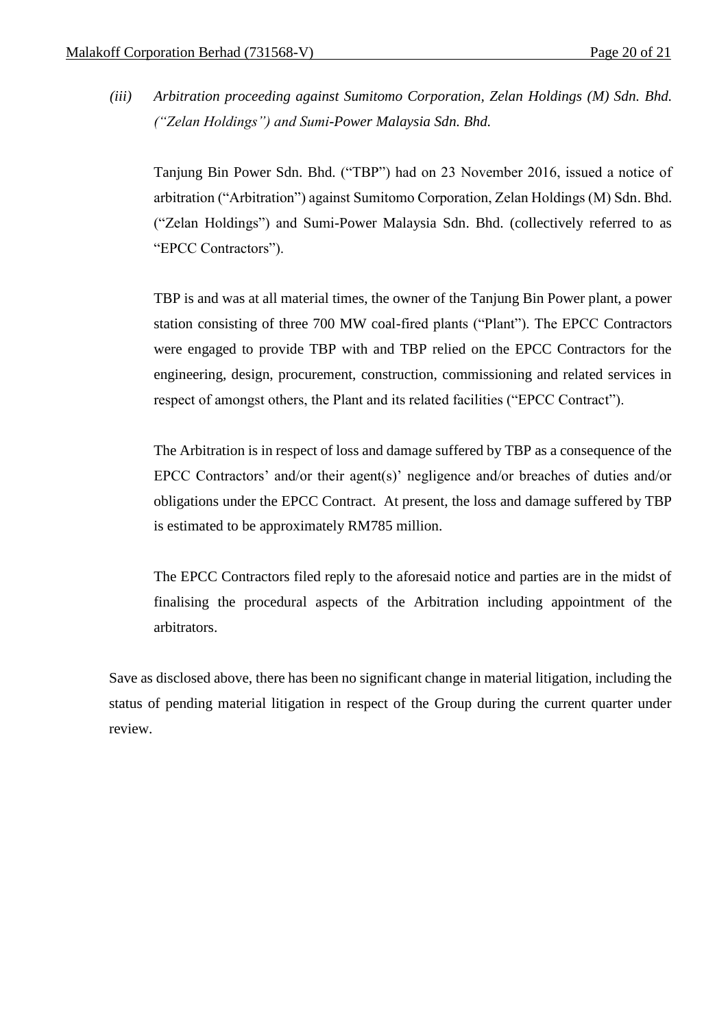*(iii) Arbitration proceeding against Sumitomo Corporation, Zelan Holdings (M) Sdn. Bhd. ("Zelan Holdings") and Sumi-Power Malaysia Sdn. Bhd.*

Tanjung Bin Power Sdn. Bhd. ("TBP") had on 23 November 2016, issued a notice of arbitration ("Arbitration") against Sumitomo Corporation, Zelan Holdings (M) Sdn. Bhd. ("Zelan Holdings") and Sumi-Power Malaysia Sdn. Bhd. (collectively referred to as "EPCC Contractors").

TBP is and was at all material times, the owner of the Tanjung Bin Power plant, a power station consisting of three 700 MW coal-fired plants ("Plant"). The EPCC Contractors were engaged to provide TBP with and TBP relied on the EPCC Contractors for the engineering, design, procurement, construction, commissioning and related services in respect of amongst others, the Plant and its related facilities ("EPCC Contract").

The Arbitration is in respect of loss and damage suffered by TBP as a consequence of the EPCC Contractors' and/or their agent(s)' negligence and/or breaches of duties and/or obligations under the EPCC Contract. At present, the loss and damage suffered by TBP is estimated to be approximately RM785 million.

The EPCC Contractors filed reply to the aforesaid notice and parties are in the midst of finalising the procedural aspects of the Arbitration including appointment of the arbitrators.

Save as disclosed above, there has been no significant change in material litigation, including the status of pending material litigation in respect of the Group during the current quarter under review.